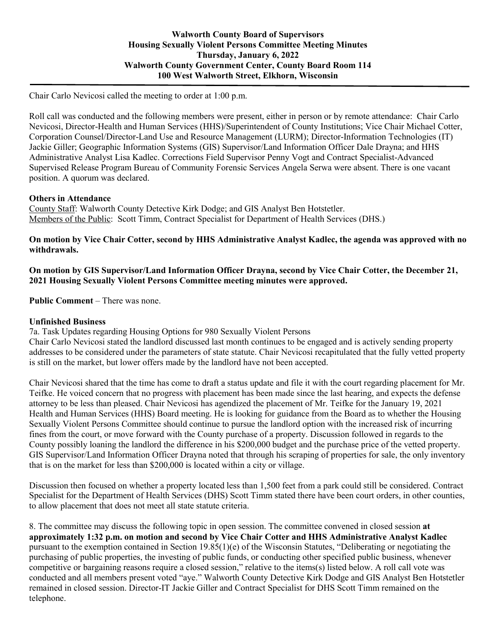Chair Carlo Nevicosi called the meeting to order at 1:00 p.m.

Roll call was conducted and the following members were present, either in person or by remote attendance: Chair Carlo Nevicosi, Director-Health and Human Services (HHS)/Superintendent of County Institutions; Vice Chair Michael Cotter, Corporation Counsel/Director-Land Use and Resource Management (LURM); Director-Information Technologies (IT) Jackie Giller; Geographic Information Systems (GIS) Supervisor/Land Information Officer Dale Drayna; and HHS Administrative Analyst Lisa Kadlec. Corrections Field Supervisor Penny Vogt and Contract Specialist-Advanced Supervised Release Program Bureau of Community Forensic Services Angela Serwa were absent. There is one vacant position. A quorum was declared.

## **Others in Attendance**

County Staff: Walworth County Detective Kirk Dodge; and GIS Analyst Ben Hotstetler. Members of the Public: Scott Timm, Contract Specialist for Department of Health Services (DHS.)

**On motion by Vice Chair Cotter, second by HHS Administrative Analyst Kadlec, the agenda was approved with no withdrawals.**

## **On motion by GIS Supervisor/Land Information Officer Drayna, second by Vice Chair Cotter, the December 21, 2021 Housing Sexually Violent Persons Committee meeting minutes were approved.**

**Public Comment** – There was none.

## **Unfinished Business**

7a. Task Updates regarding Housing Options for 980 Sexually Violent Persons

Chair Carlo Nevicosi stated the landlord discussed last month continues to be engaged and is actively sending property addresses to be considered under the parameters of state statute. Chair Nevicosi recapitulated that the fully vetted property is still on the market, but lower offers made by the landlord have not been accepted.

Chair Nevicosi shared that the time has come to draft a status update and file it with the court regarding placement for Mr. Teifke. He voiced concern that no progress with placement has been made since the last hearing, and expects the defense attorney to be less than pleased. Chair Nevicosi has agendized the placement of Mr. Teifke for the January 19, 2021 Health and Human Services (HHS) Board meeting. He is looking for guidance from the Board as to whether the Housing Sexually Violent Persons Committee should continue to pursue the landlord option with the increased risk of incurring fines from the court, or move forward with the County purchase of a property. Discussion followed in regards to the County possibly loaning the landlord the difference in his \$200,000 budget and the purchase price of the vetted property. GIS Supervisor/Land Information Officer Drayna noted that through his scraping of properties for sale, the only inventory that is on the market for less than \$200,000 is located within a city or village.

Discussion then focused on whether a property located less than 1,500 feet from a park could still be considered. Contract Specialist for the Department of Health Services (DHS) Scott Timm stated there have been court orders, in other counties, to allow placement that does not meet all state statute criteria.

8. The committee may discuss the following topic in open session. The committee convened in closed session **at approximately 1:32 p.m. on motion and second by Vice Chair Cotter and HHS Administrative Analyst Kadlec** pursuant to the exemption contained in Section 19.85(1)(e) of the Wisconsin Statutes, "Deliberating or negotiating the purchasing of public properties, the investing of public funds, or conducting other specified public business, whenever competitive or bargaining reasons require a closed session," relative to the items(s) listed below. A roll call vote was conducted and all members present voted "aye." Walworth County Detective Kirk Dodge and GIS Analyst Ben Hotstetler remained in closed session. Director-IT Jackie Giller and Contract Specialist for DHS Scott Timm remained on the telephone.